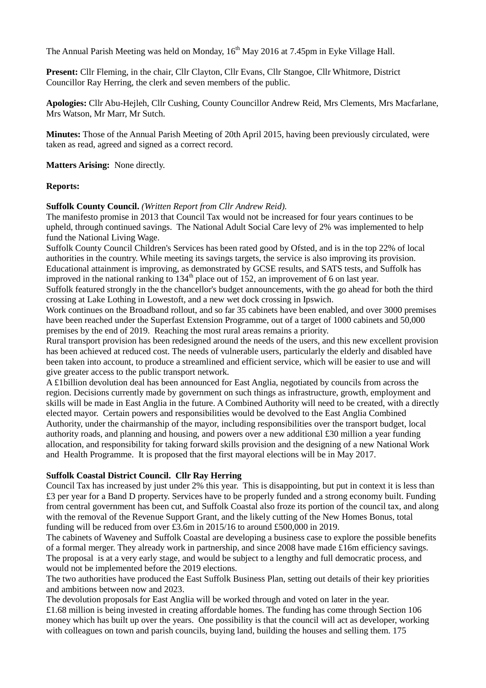The Annual Parish Meeting was held on Monday,  $16<sup>th</sup>$  May 2016 at 7.45pm in Eyke Village Hall.

**Present:** Cllr Fleming, in the chair, Cllr Clayton, Cllr Evans, Cllr Stangoe, Cllr Whitmore, District Councillor Ray Herring, the clerk and seven members of the public.

**Apologies:** Cllr Abu-Hejleh, Cllr Cushing, County Councillor Andrew Reid, Mrs Clements, Mrs Macfarlane, Mrs Watson, Mr Marr, Mr Sutch.

**Minutes:** Those of the Annual Parish Meeting of 20th April 2015, having been previously circulated, were taken as read, agreed and signed as a correct record.

**Matters Arising:** None directly.

## **Reports:**

#### **Suffolk County Council.** *(Written Report from Cllr Andrew Reid).*

The manifesto promise in 2013 that Council Tax would not be increased for four years continues to be upheld, through continued savings. The National Adult Social Care levy of 2% was implemented to help fund the National Living Wage.

Suffolk County Council Children's Services has been rated good by Ofsted, and is in the top 22% of local authorities in the country. While meeting its savings targets, the service is also improving its provision. Educational attainment is improving, as demonstrated by GCSE results, and SATS tests, and Suffolk has improved in the national ranking to  $134<sup>th</sup>$  place out of 152, an improvement of 6 on last year.

Suffolk featured strongly in the the chancellor's budget announcements, with the go ahead for both the third crossing at Lake Lothing in Lowestoft, and a new wet dock crossing in Ipswich.

Work continues on the Broadband rollout, and so far 35 cabinets have been enabled, and over 3000 premises have been reached under the Superfast Extension Programme, out of a target of 1000 cabinets and 50,000 premises by the end of 2019. Reaching the most rural areas remains a priority.

Rural transport provision has been redesigned around the needs of the users, and this new excellent provision has been achieved at reduced cost. The needs of vulnerable users, particularly the elderly and disabled have been taken into account, to produce a streamlined and efficient service, which will be easier to use and will give greater access to the public transport network.

A £1billion devolution deal has been announced for East Anglia, negotiated by councils from across the region. Decisions currently made by government on such things as infrastructure, growth, employment and skills will be made in East Anglia in the future. A Combined Authority will need to be created, with a directly elected mayor. Certain powers and responsibilities would be devolved to the East Anglia Combined Authority, under the chairmanship of the mayor, including responsibilities over the transport budget, local authority roads, and planning and housing, and powers over a new additional £30 million a year funding allocation, and responsibility for taking forward skills provision and the designing of a new National Work and Health Programme. It is proposed that the first mayoral elections will be in May 2017.

## **Suffolk Coastal District Council. Cllr Ray Herring**

Council Tax has increased by just under 2% this year. This is disappointing, but put in context it is less than £3 per year for a Band D property. Services have to be properly funded and a strong economy built. Funding from central government has been cut, and Suffolk Coastal also froze its portion of the council tax, and along with the removal of the Revenue Support Grant, and the likely cutting of the New Homes Bonus, total funding will be reduced from over £3.6m in 2015/16 to around £500,000 in 2019.

The cabinets of Waveney and Suffolk Coastal are developing a business case to explore the possible benefits of a formal merger. They already work in partnership, and since 2008 have made £16m efficiency savings. The proposal is at a very early stage, and would be subject to a lengthy and full democratic process, and would not be implemented before the 2019 elections.

The two authorities have produced the East Suffolk Business Plan, setting out details of their key priorities and ambitions between now and 2023.

The devolution proposals for East Anglia will be worked through and voted on later in the year. £1.68 million is being invested in creating affordable homes. The funding has come through Section 106 money which has built up over the years. One possibility is that the council will act as developer, working with colleagues on town and parish councils, buying land, building the houses and selling them. 175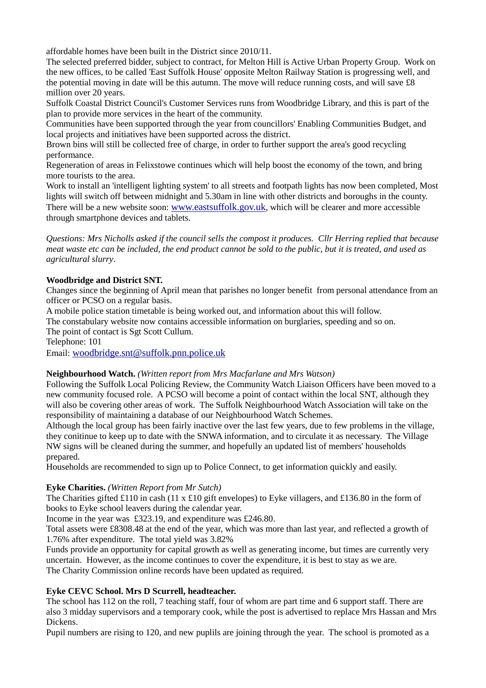affordable homes have been built in the District since 2010/11.

The selected preferred bidder, subject to contract, for Melton Hill is Active Urban Property Group. Work on the new offices, to be called 'East Suffolk House' opposite Melton Railway Station is progressing well, and the potential moving in date will be this autumn. The move will reduce running costs, and will save £8 million over 20 years.

Suffolk Coastal District Council's Customer Services runs from Woodbridge Library, and this is part of the plan to provide more services in the heart of the community.

Communities have been supported through the year from councillors' Enabling Communities Budget, and local projects and initiatives have been supported across the district.

Brown bins will still be collected free of charge, in order to further support the area's good recycling performance.

Regeneration of areas in Felixstowe continues which will help boost the economy of the town, and bring more tourists to the area.

Work to install an 'intelligent lighting system' to all streets and footpath lights has now been completed, Most lights will switch off between midnight and 5.30am in line with other districts and boroughs in the county. There will be a new website soon: [www.eastsuffolk.gov.uk](http://www.eastsuffolk.gov.uk/), which will be clearer and more accessible through smartphone devices and tablets.

*Questions: Mrs Nicholls asked if the council sells the compost it produces. Cllr Herring replied that because meat waste etc can be included, the end product cannot be sold to the public, but it is treated, and used as agricultural slurry*.

# **Woodbridge and District SNT.**

Changes since the beginning of April mean that parishes no longer benefit from personal attendance from an officer or PCSO on a regular basis.

A mobile police station timetable is being worked out, and information about this will follow.

The constabulary website now contains accessible information on burglaries, speeding and so on. The point of contact is Sgt Scott Cullum.

Telephone: 101

Email: [woodbridge.snt@suffolk.pnn.police.uk](mailto:woodbridge.snt@suffolk.pnn.police.uk)

## **Neighbourhood Watch.** *(Written report from Mrs Macfarlane and Mrs Watson)*

Following the Suffolk Local Policing Review, the Community Watch Liaison Officers have been moved to a new community focused role. A PCSO will become a point of contact within the local SNT, although they will also be covering other areas of work. The Suffolk Neighbourhood Watch Association will take on the responsibility of maintaining a database of our Neighbourhood Watch Schemes.

Although the local group has been fairly inactive over the last few years, due to few problems in the village, they conitinue to keep up to date with the SNWA information, and to circulate it as necessary. The Village NW signs will be cleaned during the summer, and hopefully an updated list of members' households prepared.

Households are recommended to sign up to Police Connect, to get information quickly and easily.

## **Eyke Charities.** *(Written Report from Mr Sutch)*

The Charities gifted £110 in cash (11 x £10 gift envelopes) to Eyke villagers, and £136.80 in the form of books to Eyke school leavers during the calendar year.

Income in the year was £323.19, and expenditure was £246.80.

Total assets were £8308.48 at the end of the year, which was more than last year, and reflected a growth of 1.76% after expenditure. The total yield was 3.82%

Funds provide an opportunity for capital growth as well as generating income, but times are currently very uncertain. However, as the income continues to cover the expenditure, it is best to stay as we are. The Charity Commission online records have been updated as required.

## **Eyke CEVC School. Mrs D Scurrell, headteacher.**

The school has 112 on the roll, 7 teaching staff, four of whom are part time and 6 support staff. There are also 3 midday supervisors and a temporary cook, while the post is advertised to replace Mrs Hassan and Mrs Dickens.

Pupil numbers are rising to 120, and new puplils are joining through the year. The school is promoted as a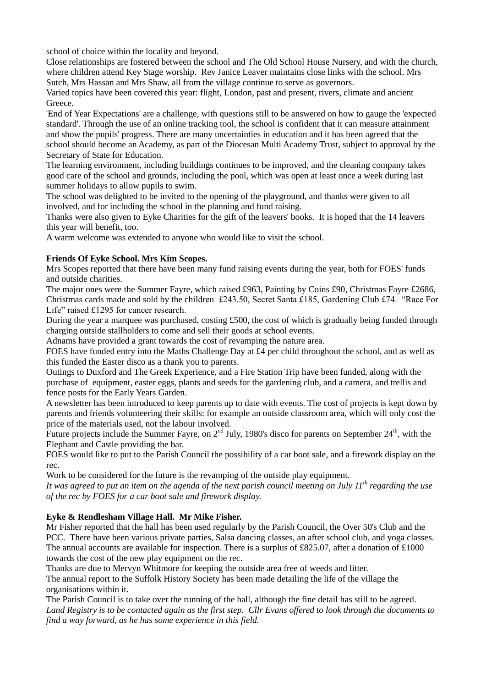school of choice within the locality and beyond.

Close relationships are fostered between the school and The Old School House Nursery, and with the church, where children attend Key Stage worship. Rev Janice Leaver maintains close links with the school. Mrs Sutch, Mrs Hassan and Mrs Shaw, all from the village continue to serve as governors.

Varied topics have been covered this year: flight, London, past and present, rivers, climate and ancient Greece.

'End of Year Expectations' are a challenge, with questions still to be answered on how to gauge the 'expected standard'. Through the use of an online tracking tool, the school is confident that it can measure attainment and show the pupils' progress. There are many uncertainties in education and it has been agreed that the school should become an Academy, as part of the Diocesan Multi Academy Trust, subject to approval by the Secretary of State for Education.

The learning environment, including buildings continues to be improved, and the cleaning company takes good care of the school and grounds, including the pool, which was open at least once a week during last summer holidays to allow pupils to swim.

The school was delighted to be invited to the opening of the playground, and thanks were given to all involved, and for including the school in the planning and fund raising.

Thanks were also given to Eyke Charities for the gift of the leavers' books. It is hoped that the 14 leavers this year will benefit, too.

A warm welcome was extended to anyone who would like to visit the school.

# **Friends Of Eyke School. Mrs Kim Scopes.**

Mrs Scopes reported that there have been many fund raising events during the year, both for FOES' funds and outside charities.

The major ones were the Summer Fayre, which raised £963, Painting by Coins £90, Christmas Fayre £2686, Christmas cards made and sold by the children £243.50, Secret Santa £185, Gardening Club £74. "Race For Life" raised £1295 for cancer research.

During the year a marquee was purchased, costing £500, the cost of which is gradually being funded through charging outside stallholders to come and sell their goods at school events.

Adnams have provided a grant towards the cost of revamping the nature area.

FOES have funded entry into the Maths Challenge Day at £4 per child throughout the school, and as well as this funded the Easter disco as a thank you to parents.

Outings to Duxford and The Greek Experience, and a Fire Station Trip have been funded, along with the purchase of equipment, easter eggs, plants and seeds for the gardening club, and a camera, and trellis and fence posts for the Early Years Garden.

A newsletter has been introduced to keep parents up to date with events. The cost of projects is kept down by parents and friends volunteering their skills: for example an outside classroom area, which will only cost the price of the materials used, not the labour involved.

Future projects include the Summer Fayre, on  $2<sup>nd</sup>$  July, 1980's disco for parents on September  $24<sup>th</sup>$ , with the Elephant and Castle providing the bar.

FOES would like to put to the Parish Council the possibility of a car boot sale, and a firework display on the rec.

Work to be considered for the future is the revamping of the outside play equipment.

*It was agreed to put an item on the agenda of the next parish council meeting on July 11th regarding the use of the rec by FOES for a car boot sale and firework display.*

# **Eyke & Rendlesham Village Hall. Mr Mike Fisher.**

Mr Fisher reported that the hall has been used regularly by the Parish Council, the Over 50's Club and the PCC. There have been various private parties, Salsa dancing classes, an after school club, and yoga classes. The annual accounts are available for inspection. There is a surplus of £825.07, after a donation of £1000 towards the cost of the new play equipment on the rec.

Thanks are due to Mervyn Whitmore for keeping the outside area free of weeds and litter.

The annual report to the Suffolk History Society has been made detailing the life of the village the organisations within it.

The Parish Council is to take over the running of the hall, although the fine detail has still to be agreed. *Land Registry is to be contacted again as the first step. Cllr Evans offered to look through the documents to find a way forward, as he has some experience in this field.*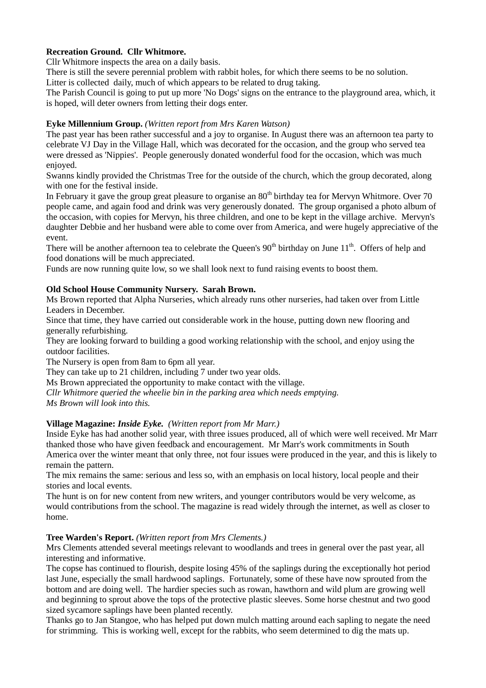# **Recreation Ground. Cllr Whitmore.**

Cllr Whitmore inspects the area on a daily basis.

There is still the severe perennial problem with rabbit holes, for which there seems to be no solution. Litter is collected daily, much of which appears to be related to drug taking.

The Parish Council is going to put up more 'No Dogs' signs on the entrance to the playground area, which, it is hoped, will deter owners from letting their dogs enter.

### **Eyke Millennium Group.** *(Written report from Mrs Karen Watson)*

The past year has been rather successful and a joy to organise. In August there was an afternoon tea party to celebrate VJ Day in the Village Hall, which was decorated for the occasion, and the group who served tea were dressed as 'Nippies'. People generously donated wonderful food for the occasion, which was much enjoyed.

Swanns kindly provided the Christmas Tree for the outside of the church, which the group decorated, along with one for the festival inside.

In February it gave the group great pleasure to organise an 80<sup>th</sup> birthday tea for Mervyn Whitmore. Over 70 people came, and again food and drink was very generously donated. The group organised a photo album of the occasion, with copies for Mervyn, his three children, and one to be kept in the village archive. Mervyn's daughter Debbie and her husband were able to come over from America, and were hugely appreciative of the event.

There will be another afternoon tea to celebrate the Queen's  $90<sup>th</sup>$  birthday on June  $11<sup>th</sup>$ . Offers of help and food donations will be much appreciated.

Funds are now running quite low, so we shall look next to fund raising events to boost them.

## **Old School House Community Nursery. Sarah Brown.**

Ms Brown reported that Alpha Nurseries, which already runs other nurseries, had taken over from Little Leaders in December.

Since that time, they have carried out considerable work in the house, putting down new flooring and generally refurbishing.

They are looking forward to building a good working relationship with the school, and enjoy using the outdoor facilities.

The Nursery is open from 8am to 6pm all year.

They can take up to 21 children, including 7 under two year olds.

Ms Brown appreciated the opportunity to make contact with the village.

*Cllr Whitmore queried the wheelie bin in the parking area which needs emptying.*

*Ms Brown will look into this.*

## **Village Magazine:** *Inside Eyke. (Written report from Mr Marr.)*

Inside Eyke has had another solid year, with three issues produced, all of which were well received. Mr Marr thanked those who have given feedback and encouragement. Mr Marr's work commitments in South America over the winter meant that only three, not four issues were produced in the year, and this is likely to remain the pattern.

The mix remains the same: serious and less so, with an emphasis on local history, local people and their stories and local events.

The hunt is on for new content from new writers, and younger contributors would be very welcome, as would contributions from the school. The magazine is read widely through the internet, as well as closer to home.

#### **Tree Warden's Report.** *(Written report from Mrs Clements.)*

Mrs Clements attended several meetings relevant to woodlands and trees in general over the past year, all interesting and informative.

The copse has continued to flourish, despite losing 45% of the saplings during the exceptionally hot period last June, especially the small hardwood saplings. Fortunately, some of these have now sprouted from the bottom and are doing well. The hardier species such as rowan, hawthorn and wild plum are growing well and beginning to sprout above the tops of the protective plastic sleeves. Some horse chestnut and two good sized sycamore saplings have been planted recently.

Thanks go to Jan Stangoe, who has helped put down mulch matting around each sapling to negate the need for strimming. This is working well, except for the rabbits, who seem determined to dig the mats up.